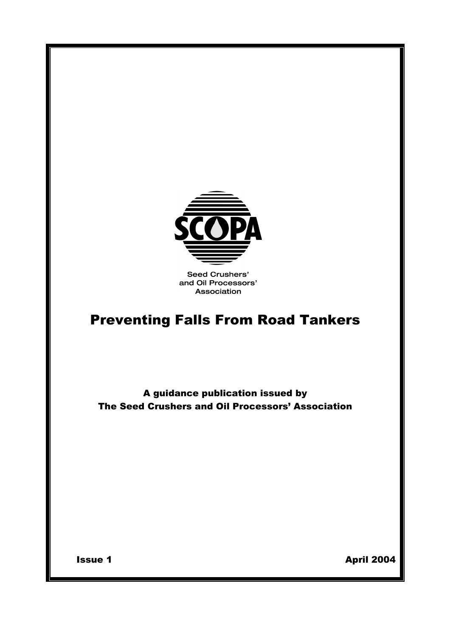

**Seed Crushers'** and Oil Processors' Association

# Preventing Falls From Road Tankers

A guidance publication issued by The Seed Crushers and Oil Processors' Association

**Issue 1** April 2004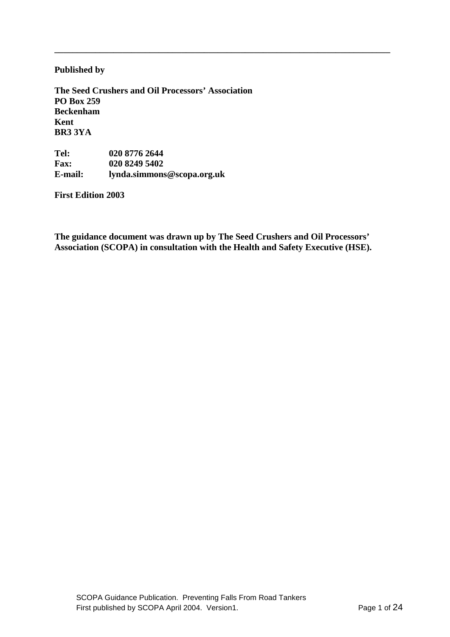## **Published by**

**The Seed Crushers and Oil Processors' Association PO Box 259 Beckenham Kent BR3 3YA** 

**Tel:** 020 8776 2644<br>**Fax:** 020 8249 5402 **Fax: 020 8249 5402 E-mail: lynda.simmons@scopa.org.uk** 

**First Edition 2003** 

**The guidance document was drawn up by The Seed Crushers and Oil Processors' Association (SCOPA) in consultation with the Health and Safety Executive (HSE).**

**\_\_\_\_\_\_\_\_\_\_\_\_\_\_\_\_\_\_\_\_\_\_\_\_\_\_\_\_\_\_\_\_\_\_\_\_\_\_\_\_\_\_\_\_\_\_\_\_\_\_\_\_\_\_\_\_\_\_\_\_\_\_\_\_\_\_\_\_\_\_\_\_\_\_**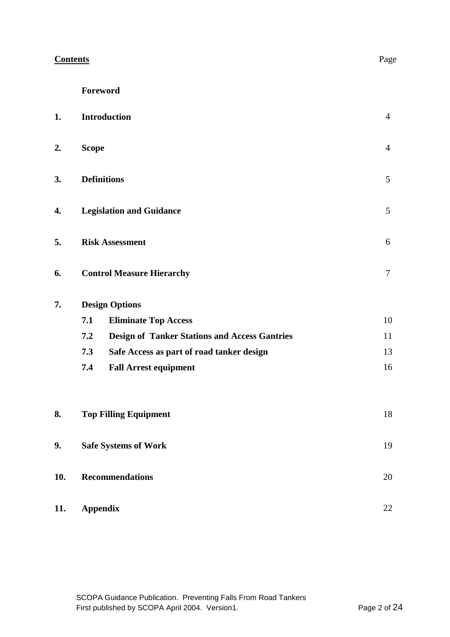| <b>Contents</b> | Page |
|-----------------|------|
|                 |      |

| 1.  | <b>Introduction</b>                                         | $\overline{4}$ |
|-----|-------------------------------------------------------------|----------------|
| 2.  | <b>Scope</b>                                                | $\overline{4}$ |
| 3.  | <b>Definitions</b>                                          | 5              |
| 4.  | <b>Legislation and Guidance</b>                             | 5              |
| 5.  | <b>Risk Assessment</b>                                      |                |
| 6.  | <b>Control Measure Hierarchy</b>                            | $\tau$         |
| 7.  | <b>Design Options</b>                                       |                |
|     | 7.1<br><b>Eliminate Top Access</b>                          | 10             |
|     | 7.2<br><b>Design of Tanker Stations and Access Gantries</b> | 11             |
|     | 7.3<br>Safe Access as part of road tanker design            | 13             |
|     | 7.4<br><b>Fall Arrest equipment</b>                         | 16             |
| 8.  | <b>Top Filling Equipment</b>                                | 18             |
| 9.  | <b>Safe Systems of Work</b>                                 |                |
| 10. | <b>Recommendations</b>                                      |                |
| 11. | <b>Appendix</b>                                             |                |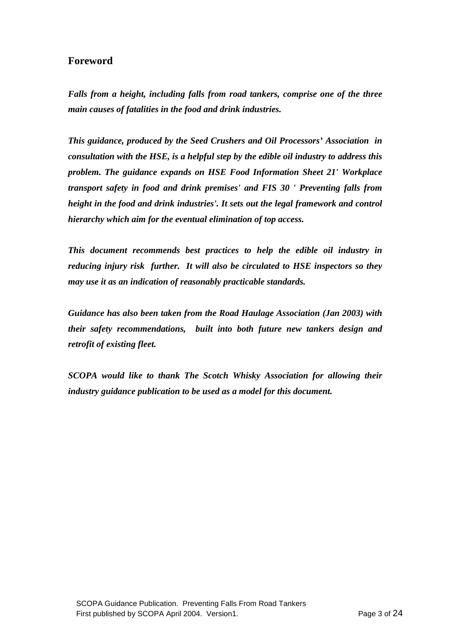## **Foreword**

*Falls from a height, including falls from road tankers, comprise one of the three main causes of fatalities in the food and drink industries.* 

*This guidance, produced by the Seed Crushers and Oil Processors' Association in consultation with the HSE, is a helpful step by the edible oil industry to address this problem. The guidance expands on HSE Food Information Sheet 21' Workplace transport safety in food and drink premises' and FIS 30 ' Preventing falls from height in the food and drink industries'. It sets out the legal framework and control hierarchy which aim for the eventual elimination of top access.* 

*This document recommends best practices to help the edible oil industry in reducing injury risk further. It will also be circulated to HSE inspectors so they may use it as an indication of reasonably practicable standards.* 

*Guidance has also been taken from the Road Haulage Association (Jan 2003) with their safety recommendations, built into both future new tankers design and retrofit of existing fleet.* 

*SCOPA would like to thank The Scotch Whisky Association for allowing their industry guidance publication to be used as a model for this document.*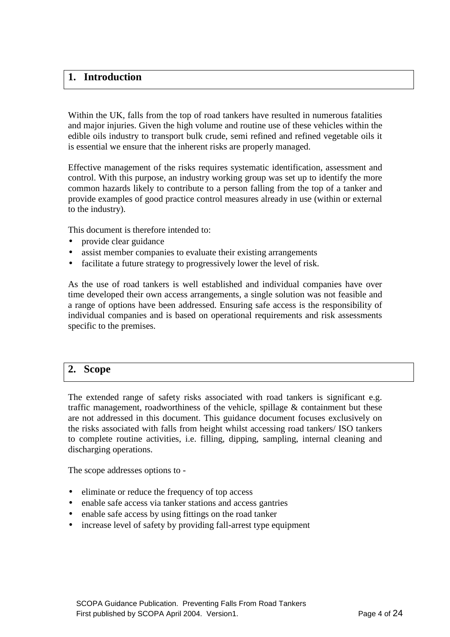## **1. Introduction**

Within the UK, falls from the top of road tankers have resulted in numerous fatalities and major injuries. Given the high volume and routine use of these vehicles within the edible oils industry to transport bulk crude, semi refined and refined vegetable oils it is essential we ensure that the inherent risks are properly managed.

Effective management of the risks requires systematic identification, assessment and control. With this purpose, an industry working group was set up to identify the more common hazards likely to contribute to a person falling from the top of a tanker and provide examples of good practice control measures already in use (within or external to the industry).

This document is therefore intended to:

- provide clear guidance
- assist member companies to evaluate their existing arrangements
- facilitate a future strategy to progressively lower the level of risk.

As the use of road tankers is well established and individual companies have over time developed their own access arrangements, a single solution was not feasible and a range of options have been addressed. Ensuring safe access is the responsibility of individual companies and is based on operational requirements and risk assessments specific to the premises.

## **2. Scope**

The extended range of safety risks associated with road tankers is significant e.g. traffic management, roadworthiness of the vehicle, spillage  $\&$  containment but these are not addressed in this document. This guidance document focuses exclusively on the risks associated with falls from height whilst accessing road tankers/ ISO tankers to complete routine activities, i.e. filling, dipping, sampling, internal cleaning and discharging operations.

The scope addresses options to -

- eliminate or reduce the frequency of top access
- enable safe access via tanker stations and access gantries
- enable safe access by using fittings on the road tanker
- increase level of safety by providing fall-arrest type equipment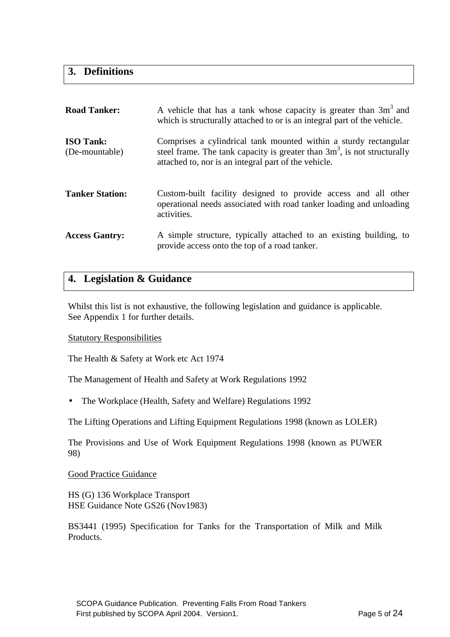## **3. Definitions**

| <b>Road Tanker:</b>                | A vehicle that has a tank whose capacity is greater than 3m <sup>3</sup> and<br>which is structurally attached to or is an integral part of the vehicle.                                               |
|------------------------------------|--------------------------------------------------------------------------------------------------------------------------------------------------------------------------------------------------------|
| <b>ISO Tank:</b><br>(De-mountable) | Comprises a cylindrical tank mounted within a sturdy rectangular<br>steel frame. The tank capacity is greater than $3m3$ , is not structurally<br>attached to, nor is an integral part of the vehicle. |
| <b>Tanker Station:</b>             | Custom-built facility designed to provide access and all other<br>operational needs associated with road tanker loading and unloading<br>activities.                                                   |
| <b>Access Gantry:</b>              | A simple structure, typically attached to an existing building, to<br>provide access onto the top of a road tanker.                                                                                    |

## **4. Legislation & Guidance**

Whilst this list is not exhaustive, the following legislation and guidance is applicable. See Appendix 1 for further details.

## Statutory Responsibilities

The Health & Safety at Work etc Act 1974

The Management of Health and Safety at Work Regulations 1992

• The Workplace (Health, Safety and Welfare) Regulations 1992

The Lifting Operations and Lifting Equipment Regulations 1998 (known as LOLER)

The Provisions and Use of Work Equipment Regulations 1998 (known as PUWER 98)

#### Good Practice Guidance

HS (G) 136 Workplace Transport HSE Guidance Note GS26 (Nov1983)

BS3441 (1995) Specification for Tanks for the Transportation of Milk and Milk Products.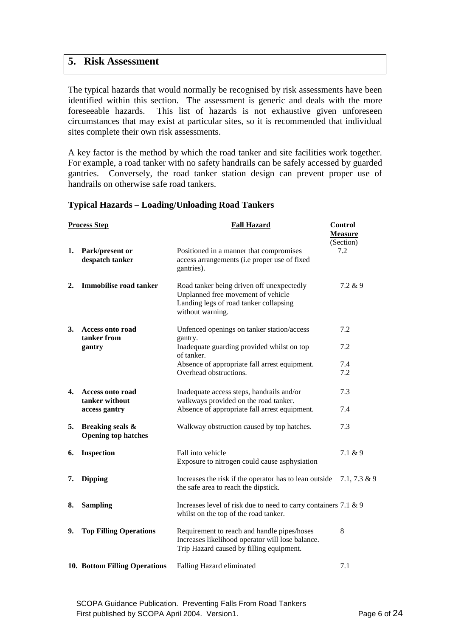## **5. Risk Assessment**

The typical hazards that would normally be recognised by risk assessments have been identified within this section. The assessment is generic and deals with the more foreseeable hazards. This list of hazards is not exhaustive given unforeseen circumstances that may exist at particular sites, so it is recommended that individual sites complete their own risk assessments.

A key factor is the method by which the road tanker and site facilities work together. For example, a road tanker with no safety handrails can be safely accessed by guarded gantries. Conversely, the road tanker station design can prevent proper use of handrails on otherwise safe road tankers.

## **Typical Hazards – Loading/Unloading Road Tankers**

|    | <b>Process Step</b>                            | <b>Fall Hazard</b>                                                                                                                            | <b>Control</b><br><b>Measure</b><br>(Section) |
|----|------------------------------------------------|-----------------------------------------------------------------------------------------------------------------------------------------------|-----------------------------------------------|
| 1. | Park/present or<br>despatch tanker             | Positioned in a manner that compromises<br>access arrangements (i.e proper use of fixed<br>gantries).                                         | 7.2                                           |
| 2. | Immobilise road tanker                         | Road tanker being driven off unexpectedly<br>Unplanned free movement of vehicle<br>Landing legs of road tanker collapsing<br>without warning. | 7.2 & 9                                       |
| 3. | <b>Access onto road</b><br>tanker from         | Unfenced openings on tanker station/access<br>gantry.                                                                                         | 7.2                                           |
|    | gantry                                         | Inadequate guarding provided whilst on top<br>of tanker.                                                                                      | 7.2                                           |
|    |                                                | Absence of appropriate fall arrest equipment.                                                                                                 | 7.4                                           |
|    |                                                | Overhead obstructions.                                                                                                                        | 7.2                                           |
| 4. | <b>Access onto road</b><br>tanker without      | Inadequate access steps, handrails and/or<br>walkways provided on the road tanker.                                                            | 7.3                                           |
|    | access gantry                                  | Absence of appropriate fall arrest equipment.                                                                                                 | 7.4                                           |
| 5. | Breaking seals &<br><b>Opening top hatches</b> | Walkway obstruction caused by top hatches.                                                                                                    | 7.3                                           |
| 6. | <b>Inspection</b>                              | Fall into vehicle<br>Exposure to nitrogen could cause asphysiation                                                                            | 7.1 & 9                                       |
| 7. | <b>Dipping</b>                                 | Increases the risk if the operator has to lean outside<br>the safe area to reach the dipstick.                                                | $7.1, 7.3 \& 9$                               |
| 8. | <b>Sampling</b>                                | Increases level of risk due to need to carry containers 7.1 $\&$ 9<br>whilst on the top of the road tanker.                                   |                                               |
| 9. | <b>Top Filling Operations</b>                  | Requirement to reach and handle pipes/hoses<br>Increases likelihood operator will lose balance.<br>Trip Hazard caused by filling equipment.   | 8                                             |
|    | 10. Bottom Filling Operations                  | Falling Hazard eliminated                                                                                                                     | 7.1                                           |

SCOPA Guidance Publication. Preventing Falls From Road Tankers First published by SCOPA April 2004. Version1. The example of 24 Page 6 of 24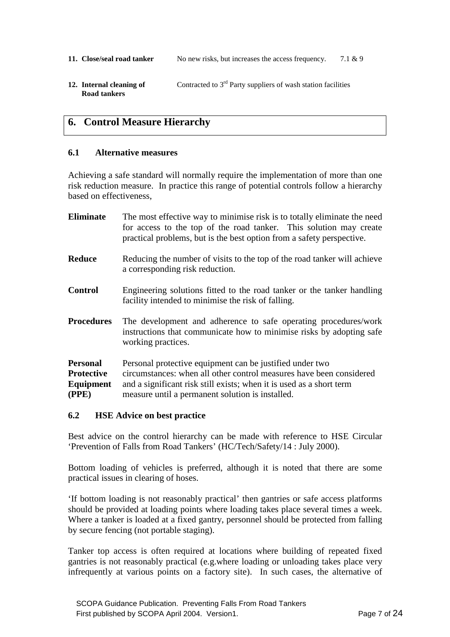- **11. Close/seal road tanker** No new risks, but increases the access frequency. 7.1 & 9
- **12. Internal cleaning of**  $\qquad$  **Contracted to**  $3^{rd}$  **Party suppliers of wash station facilities Road tankers**

## **6. Control Measure Hierarchy**

## **6.1 Alternative measures**

Achieving a safe standard will normally require the implementation of more than one risk reduction measure. In practice this range of potential controls follow a hierarchy based on effectiveness,

| <b>Eliminate</b>                                           | The most effective way to minimise risk is to totally eliminate the need<br>for access to the top of the road tanker. This solution may create<br>practical problems, but is the best option from a safety perspective.                                     |  |
|------------------------------------------------------------|-------------------------------------------------------------------------------------------------------------------------------------------------------------------------------------------------------------------------------------------------------------|--|
| <b>Reduce</b>                                              | Reducing the number of visits to the top of the road tanker will achieve<br>a corresponding risk reduction.                                                                                                                                                 |  |
| <b>Control</b>                                             | Engineering solutions fitted to the road tanker or the tanker handling<br>facility intended to minimise the risk of falling.                                                                                                                                |  |
| <b>Procedures</b>                                          | The development and adherence to safe operating procedures/work<br>instructions that communicate how to minimise risks by adopting safe<br>working practices.                                                                                               |  |
| <b>Personal</b><br><b>Protective</b><br>Equipment<br>(PPE) | Personal protective equipment can be justified under two<br>circumstances: when all other control measures have been considered<br>and a significant risk still exists; when it is used as a short term<br>measure until a permanent solution is installed. |  |

## **6.2 HSE Advice on best practice**

Best advice on the control hierarchy can be made with reference to HSE Circular 'Prevention of Falls from Road Tankers' (HC/Tech/Safety/14 : July 2000).

Bottom loading of vehicles is preferred, although it is noted that there are some practical issues in clearing of hoses.

'If bottom loading is not reasonably practical' then gantries or safe access platforms should be provided at loading points where loading takes place several times a week. Where a tanker is loaded at a fixed gantry, personnel should be protected from falling by secure fencing (not portable staging).

Tanker top access is often required at locations where building of repeated fixed gantries is not reasonably practical (e.g.where loading or unloading takes place very infrequently at various points on a factory site). In such cases, the alternative of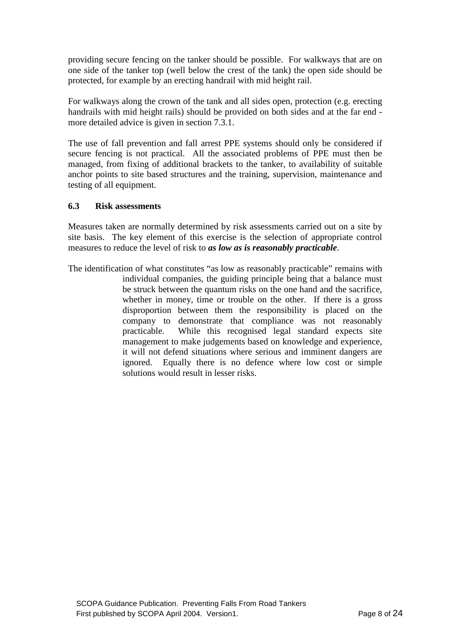providing secure fencing on the tanker should be possible. For walkways that are on one side of the tanker top (well below the crest of the tank) the open side should be protected, for example by an erecting handrail with mid height rail.

For walkways along the crown of the tank and all sides open, protection (e.g. erecting handrails with mid height rails) should be provided on both sides and at the far end more detailed advice is given in section 7.3.1.

The use of fall prevention and fall arrest PPE systems should only be considered if secure fencing is not practical. All the associated problems of PPE must then be managed, from fixing of additional brackets to the tanker, to availability of suitable anchor points to site based structures and the training, supervision, maintenance and testing of all equipment.

## **6.3 Risk assessments**

Measures taken are normally determined by risk assessments carried out on a site by site basis. The key element of this exercise is the selection of appropriate control measures to reduce the level of risk to *as low as is reasonably practicable*.

The identification of what constitutes "as low as reasonably practicable" remains with individual companies, the guiding principle being that a balance must be struck between the quantum risks on the one hand and the sacrifice, whether in money, time or trouble on the other. If there is a gross disproportion between them the responsibility is placed on the company to demonstrate that compliance was not reasonably practicable. While this recognised legal standard expects site management to make judgements based on knowledge and experience, it will not defend situations where serious and imminent dangers are ignored. Equally there is no defence where low cost or simple solutions would result in lesser risks.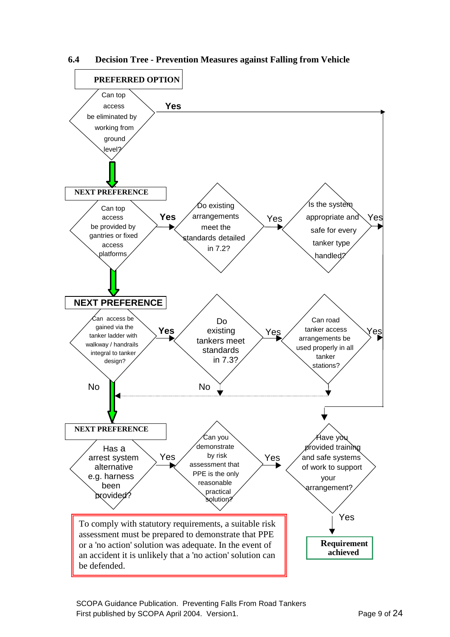

**6.4 Decision Tree - Prevention Measures against Falling from Vehicle**

SCOPA Guidance Publication. Preventing Falls From Road Tankers First published by SCOPA April 2004. Version1. The example of 24 and 24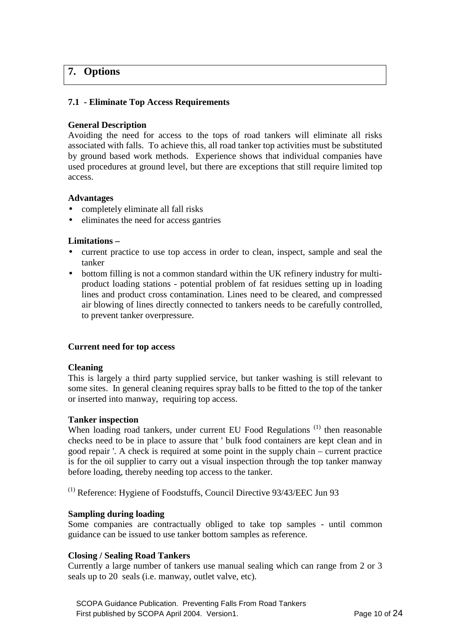## **7. Options**

## **7.1 - Eliminate Top Access Requirements**

## **General Description**

Avoiding the need for access to the tops of road tankers will eliminate all risks associated with falls. To achieve this, all road tanker top activities must be substituted by ground based work methods. Experience shows that individual companies have used procedures at ground level, but there are exceptions that still require limited top access.

## **Advantages**

- completely eliminate all fall risks
- eliminates the need for access gantries

## **Limitations –**

- current practice to use top access in order to clean, inspect, sample and seal the tanker
- bottom filling is not a common standard within the UK refinery industry for multiproduct loading stations - potential problem of fat residues setting up in loading lines and product cross contamination. Lines need to be cleared, and compressed air blowing of lines directly connected to tankers needs to be carefully controlled, to prevent tanker overpressure.

## **Current need for top access**

## **Cleaning**

This is largely a third party supplied service, but tanker washing is still relevant to some sites. In general cleaning requires spray balls to be fitted to the top of the tanker or inserted into manway, requiring top access.

## **Tanker inspection**

When loading road tankers, under current EU Food Regulations<sup>(1)</sup> then reasonable checks need to be in place to assure that ' bulk food containers are kept clean and in good repair '. A check is required at some point in the supply chain – current practice is for the oil supplier to carry out a visual inspection through the top tanker manway before loading, thereby needing top access to the tanker.

 $(1)$  Reference: Hygiene of Foodstuffs, Council Directive 93/43/EEC Jun 93

## **Sampling during loading**

Some companies are contractually obliged to take top samples - until common guidance can be issued to use tanker bottom samples as reference.

## **Closing / Sealing Road Tankers**

Currently a large number of tankers use manual sealing which can range from 2 or 3 seals up to 20 seals (i.e. manway, outlet valve, etc).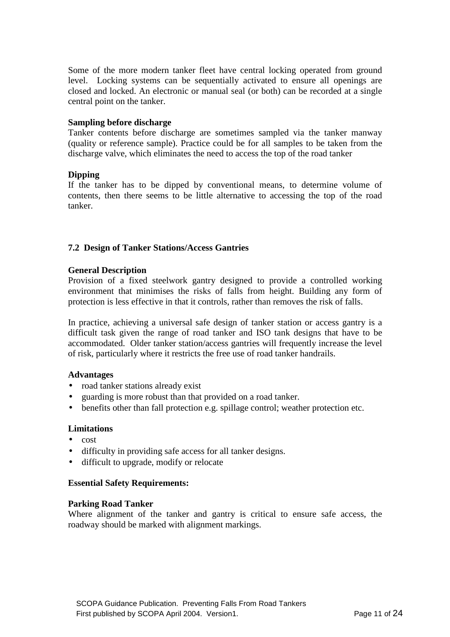Some of the more modern tanker fleet have central locking operated from ground level. Locking systems can be sequentially activated to ensure all openings are closed and locked. An electronic or manual seal (or both) can be recorded at a single central point on the tanker.

#### **Sampling before discharge**

Tanker contents before discharge are sometimes sampled via the tanker manway (quality or reference sample). Practice could be for all samples to be taken from the discharge valve, which eliminates the need to access the top of the road tanker

#### **Dipping**

If the tanker has to be dipped by conventional means, to determine volume of contents, then there seems to be little alternative to accessing the top of the road tanker.

## **7.2 Design of Tanker Stations/Access Gantries**

#### **General Description**

Provision of a fixed steelwork gantry designed to provide a controlled working environment that minimises the risks of falls from height. Building any form of protection is less effective in that it controls, rather than removes the risk of falls.

In practice, achieving a universal safe design of tanker station or access gantry is a difficult task given the range of road tanker and ISO tank designs that have to be accommodated. Older tanker station/access gantries will frequently increase the level of risk, particularly where it restricts the free use of road tanker handrails.

#### **Advantages**

- road tanker stations already exist
- guarding is more robust than that provided on a road tanker.
- benefits other than fall protection e.g. spillage control; weather protection etc.

#### **Limitations**

- cost
- difficulty in providing safe access for all tanker designs.
- difficult to upgrade, modify or relocate

#### **Essential Safety Requirements:**

#### **Parking Road Tanker**

Where alignment of the tanker and gantry is critical to ensure safe access, the roadway should be marked with alignment markings.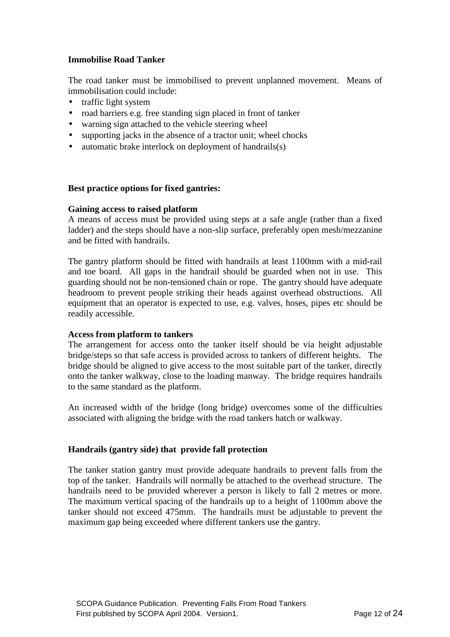## **Immobilise Road Tanker**

The road tanker must be immobilised to prevent unplanned movement. Means of immobilisation could include:

- traffic light system
- road barriers e.g. free standing sign placed in front of tanker
- warning sign attached to the vehicle steering wheel
- supporting jacks in the absence of a tractor unit; wheel chocks
- automatic brake interlock on deployment of handrails(s)

## **Best practice options for fixed gantries:**

#### **Gaining access to raised platform**

A means of access must be provided using steps at a safe angle (rather than a fixed ladder) and the steps should have a non-slip surface, preferably open mesh/mezzanine and be fitted with handrails.

The gantry platform should be fitted with handrails at least 1100mm with a mid-rail and toe board. All gaps in the handrail should be guarded when not in use. This guarding should not be non-tensioned chain or rope. The gantry should have adequate headroom to prevent people striking their heads against overhead obstructions. All equipment that an operator is expected to use, e.g. valves, hoses, pipes etc should be readily accessible.

## **Access from platform to tankers**

The arrangement for access onto the tanker itself should be via height adjustable bridge/steps so that safe access is provided across to tankers of different heights. The bridge should be aligned to give access to the most suitable part of the tanker, directly onto the tanker walkway, close to the loading manway. The bridge requires handrails to the same standard as the platform.

An increased width of the bridge (long bridge) overcomes some of the difficulties associated with aligning the bridge with the road tankers hatch or walkway.

## **Handrails (gantry side) that provide fall protection**

The tanker station gantry must provide adequate handrails to prevent falls from the top of the tanker. Handrails will normally be attached to the overhead structure. The handrails need to be provided wherever a person is likely to fall 2 metres or more. The maximum vertical spacing of the handrails up to a height of 1100mm above the tanker should not exceed 475mm. The handrails must be adjustable to prevent the maximum gap being exceeded where different tankers use the gantry.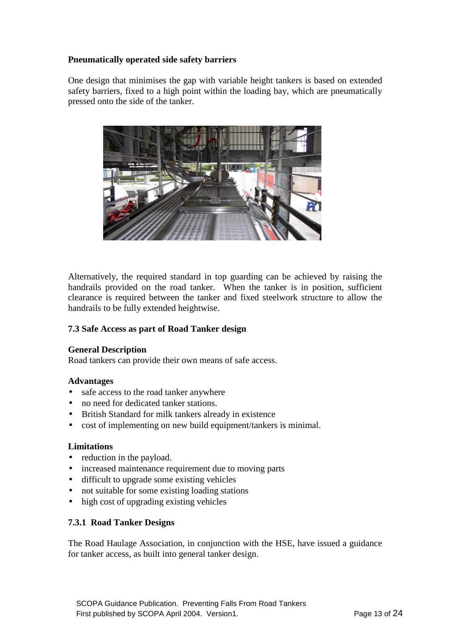## **Pneumatically operated side safety barriers**

One design that minimises the gap with variable height tankers is based on extended safety barriers, fixed to a high point within the loading bay, which are pneumatically pressed onto the side of the tanker.



Alternatively, the required standard in top guarding can be achieved by raising the handrails provided on the road tanker. When the tanker is in position, sufficient clearance is required between the tanker and fixed steelwork structure to allow the handrails to be fully extended heightwise.

## **7.3 Safe Access as part of Road Tanker design**

## **General Description**

Road tankers can provide their own means of safe access.

## **Advantages**

- safe access to the road tanker anywhere
- no need for dedicated tanker stations.
- British Standard for milk tankers already in existence
- cost of implementing on new build equipment/tankers is minimal.

## **Limitations**

- reduction in the payload.
- increased maintenance requirement due to moving parts
- difficult to upgrade some existing vehicles
- not suitable for some existing loading stations
- high cost of upgrading existing vehicles

## **7.3.1 Road Tanker Designs**

The Road Haulage Association, in conjunction with the HSE, have issued a guidance for tanker access, as built into general tanker design.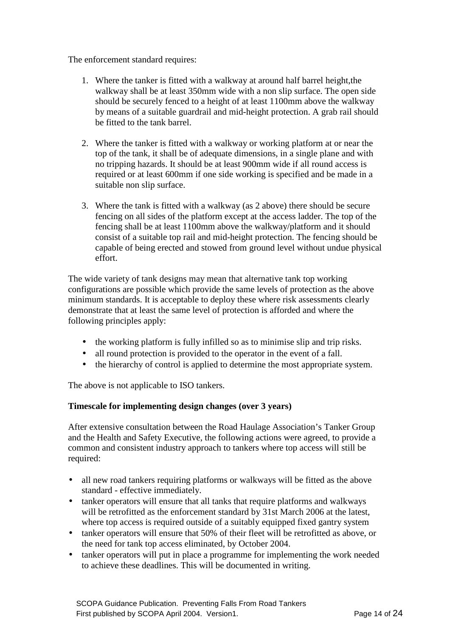The enforcement standard requires:

- 1. Where the tanker is fitted with a walkway at around half barrel height,the walkway shall be at least 350mm wide with a non slip surface. The open side should be securely fenced to a height of at least 1100mm above the walkway by means of a suitable guardrail and mid-height protection. A grab rail should be fitted to the tank barrel.
- 2. Where the tanker is fitted with a walkway or working platform at or near the top of the tank, it shall be of adequate dimensions, in a single plane and with no tripping hazards. It should be at least 900mm wide if all round access is required or at least 600mm if one side working is specified and be made in a suitable non slip surface.
- 3. Where the tank is fitted with a walkway (as 2 above) there should be secure fencing on all sides of the platform except at the access ladder. The top of the fencing shall be at least 1100mm above the walkway/platform and it should consist of a suitable top rail and mid-height protection. The fencing should be capable of being erected and stowed from ground level without undue physical effort.

The wide variety of tank designs may mean that alternative tank top working configurations are possible which provide the same levels of protection as the above minimum standards. It is acceptable to deploy these where risk assessments clearly demonstrate that at least the same level of protection is afforded and where the following principles apply:

- the working platform is fully infilled so as to minimise slip and trip risks.
- all round protection is provided to the operator in the event of a fall.
- the hierarchy of control is applied to determine the most appropriate system.

The above is not applicable to ISO tankers.

## **Timescale for implementing design changes (over 3 years)**

After extensive consultation between the Road Haulage Association's Tanker Group and the Health and Safety Executive, the following actions were agreed, to provide a common and consistent industry approach to tankers where top access will still be required:

- all new road tankers requiring platforms or walkways will be fitted as the above standard - effective immediately.
- tanker operators will ensure that all tanks that require platforms and walkways will be retrofitted as the enforcement standard by 31st March 2006 at the latest, where top access is required outside of a suitably equipped fixed gantry system
- tanker operators will ensure that 50% of their fleet will be retrofitted as above, or the need for tank top access eliminated, by October 2004.
- tanker operators will put in place a programme for implementing the work needed to achieve these deadlines. This will be documented in writing.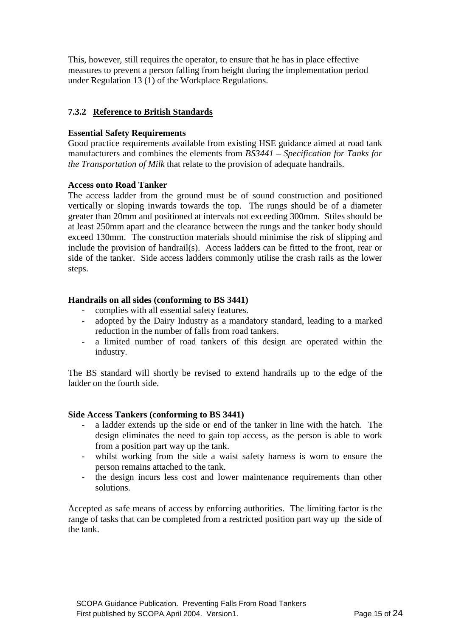This, however, still requires the operator, to ensure that he has in place effective measures to prevent a person falling from height during the implementation period under Regulation 13 (1) of the Workplace Regulations.

## **7.3.2 Reference to British Standards**

## **Essential Safety Requirements**

Good practice requirements available from existing HSE guidance aimed at road tank manufacturers and combines the elements from *BS3441 – Specification for Tanks for the Transportation of Milk* that relate to the provision of adequate handrails.

## **Access onto Road Tanker**

The access ladder from the ground must be of sound construction and positioned vertically or sloping inwards towards the top. The rungs should be of a diameter greater than 20mm and positioned at intervals not exceeding 300mm. Stiles should be at least 250mm apart and the clearance between the rungs and the tanker body should exceed 130mm. The construction materials should minimise the risk of slipping and include the provision of handrail(s). Access ladders can be fitted to the front, rear or side of the tanker. Side access ladders commonly utilise the crash rails as the lower steps.

## **Handrails on all sides (conforming to BS 3441)**

- complies with all essential safety features.
- adopted by the Dairy Industry as a mandatory standard, leading to a marked reduction in the number of falls from road tankers.
- a limited number of road tankers of this design are operated within the industry.

The BS standard will shortly be revised to extend handrails up to the edge of the ladder on the fourth side.

## **Side Access Tankers (conforming to BS 3441)**

- a ladder extends up the side or end of the tanker in line with the hatch. The design eliminates the need to gain top access, as the person is able to work from a position part way up the tank.
- whilst working from the side a waist safety harness is worn to ensure the person remains attached to the tank.
- the design incurs less cost and lower maintenance requirements than other solutions.

Accepted as safe means of access by enforcing authorities. The limiting factor is the range of tasks that can be completed from a restricted position part way up the side of the tank.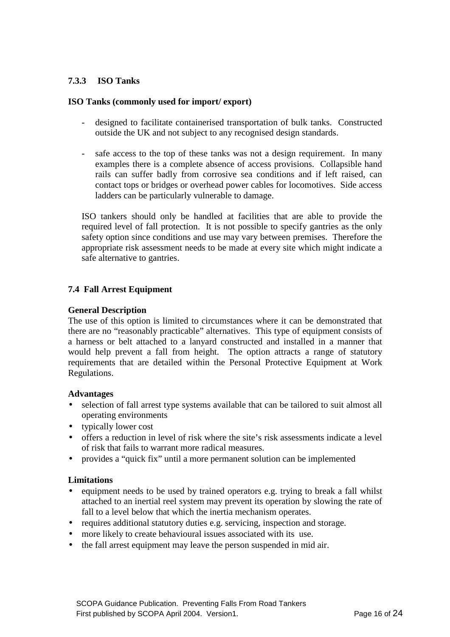## **7.3.3 ISO Tanks**

## **ISO Tanks (commonly used for import/ export)**

- designed to facilitate containerised transportation of bulk tanks. Constructed outside the UK and not subject to any recognised design standards.
- safe access to the top of these tanks was not a design requirement. In many examples there is a complete absence of access provisions. Collapsible hand rails can suffer badly from corrosive sea conditions and if left raised, can contact tops or bridges or overhead power cables for locomotives. Side access ladders can be particularly vulnerable to damage.

ISO tankers should only be handled at facilities that are able to provide the required level of fall protection. It is not possible to specify gantries as the only safety option since conditions and use may vary between premises. Therefore the appropriate risk assessment needs to be made at every site which might indicate a safe alternative to gantries.

## **7.4 Fall Arrest Equipment**

## **General Description**

The use of this option is limited to circumstances where it can be demonstrated that there are no "reasonably practicable" alternatives. This type of equipment consists of a harness or belt attached to a lanyard constructed and installed in a manner that would help prevent a fall from height. The option attracts a range of statutory requirements that are detailed within the Personal Protective Equipment at Work Regulations.

## **Advantages**

- selection of fall arrest type systems available that can be tailored to suit almost all operating environments
- typically lower cost
- offers a reduction in level of risk where the site's risk assessments indicate a level of risk that fails to warrant more radical measures.
- provides a "quick fix" until a more permanent solution can be implemented

#### **Limitations**

- equipment needs to be used by trained operators e.g. trying to break a fall whilst attached to an inertial reel system may prevent its operation by slowing the rate of fall to a level below that which the inertia mechanism operates.
- requires additional statutory duties e.g. servicing, inspection and storage.
- more likely to create behavioural issues associated with its use.
- the fall arrest equipment may leave the person suspended in mid air.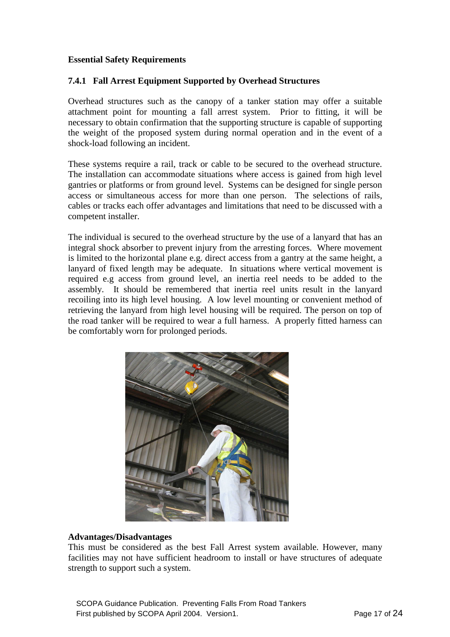## **Essential Safety Requirements**

## **7.4.1 Fall Arrest Equipment Supported by Overhead Structures**

Overhead structures such as the canopy of a tanker station may offer a suitable attachment point for mounting a fall arrest system. Prior to fitting, it will be necessary to obtain confirmation that the supporting structure is capable of supporting the weight of the proposed system during normal operation and in the event of a shock-load following an incident.

These systems require a rail, track or cable to be secured to the overhead structure. The installation can accommodate situations where access is gained from high level gantries or platforms or from ground level. Systems can be designed for single person access or simultaneous access for more than one person. The selections of rails, cables or tracks each offer advantages and limitations that need to be discussed with a competent installer.

The individual is secured to the overhead structure by the use of a lanyard that has an integral shock absorber to prevent injury from the arresting forces. Where movement is limited to the horizontal plane e.g. direct access from a gantry at the same height, a lanyard of fixed length may be adequate. In situations where vertical movement is required e.g access from ground level, an inertia reel needs to be added to the assembly. It should be remembered that inertia reel units result in the lanyard recoiling into its high level housing. A low level mounting or convenient method of retrieving the lanyard from high level housing will be required. The person on top of the road tanker will be required to wear a full harness. A properly fitted harness can be comfortably worn for prolonged periods.



## **Advantages/Disadvantages**

This must be considered as the best Fall Arrest system available. However, many facilities may not have sufficient headroom to install or have structures of adequate strength to support such a system.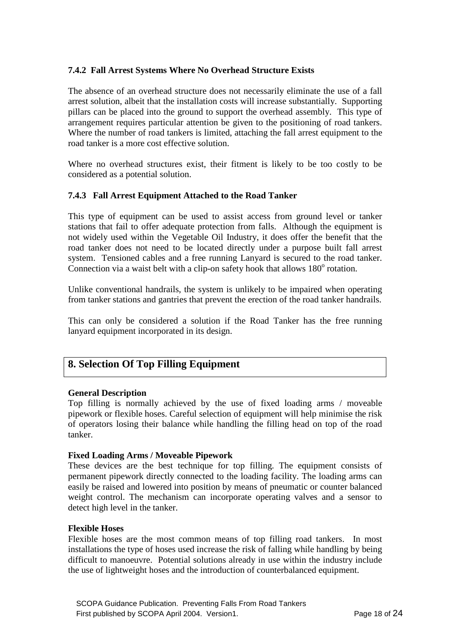## **7.4.2 Fall Arrest Systems Where No Overhead Structure Exists**

The absence of an overhead structure does not necessarily eliminate the use of a fall arrest solution, albeit that the installation costs will increase substantially. Supporting pillars can be placed into the ground to support the overhead assembly. This type of arrangement requires particular attention be given to the positioning of road tankers. Where the number of road tankers is limited, attaching the fall arrest equipment to the road tanker is a more cost effective solution.

Where no overhead structures exist, their fitment is likely to be too costly to be considered as a potential solution.

## **7.4.3 Fall Arrest Equipment Attached to the Road Tanker**

This type of equipment can be used to assist access from ground level or tanker stations that fail to offer adequate protection from falls. Although the equipment is not widely used within the Vegetable Oil Industry, it does offer the benefit that the road tanker does not need to be located directly under a purpose built fall arrest system. Tensioned cables and a free running Lanyard is secured to the road tanker. Connection via a waist belt with a clip-on safety hook that allows  $180^\circ$  rotation.

Unlike conventional handrails, the system is unlikely to be impaired when operating from tanker stations and gantries that prevent the erection of the road tanker handrails.

This can only be considered a solution if the Road Tanker has the free running lanyard equipment incorporated in its design.

## **8. Selection Of Top Filling Equipment**

## **General Description**

Top filling is normally achieved by the use of fixed loading arms / moveable pipework or flexible hoses. Careful selection of equipment will help minimise the risk of operators losing their balance while handling the filling head on top of the road tanker.

#### **Fixed Loading Arms / Moveable Pipework**

These devices are the best technique for top filling. The equipment consists of permanent pipework directly connected to the loading facility. The loading arms can easily be raised and lowered into position by means of pneumatic or counter balanced weight control. The mechanism can incorporate operating valves and a sensor to detect high level in the tanker.

#### **Flexible Hoses**

Flexible hoses are the most common means of top filling road tankers. In most installations the type of hoses used increase the risk of falling while handling by being difficult to manoeuvre. Potential solutions already in use within the industry include the use of lightweight hoses and the introduction of counterbalanced equipment.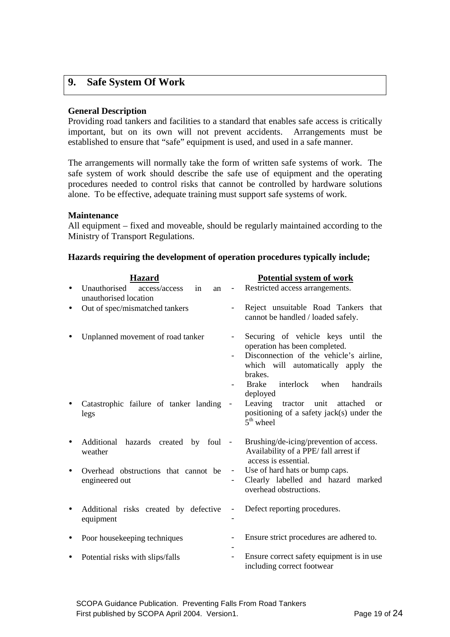## **9. Safe System Of Work**

#### **General Description**

Providing road tankers and facilities to a standard that enables safe access is critically important, but on its own will not prevent accidents. Arrangements must be established to ensure that "safe" equipment is used, and used in a safe manner.

The arrangements will normally take the form of written safe systems of work. The safe system of work should describe the safe use of equipment and the operating procedures needed to control risks that cannot be controlled by hardware solutions alone. To be effective, adequate training must support safe systems of work.

#### **Maintenance**

All equipment – fixed and moveable, should be regularly maintained according to the Ministry of Transport Regulations.

#### **Hazards requiring the development of operation procedures typically include;**

|           | <b>Hazard</b>                                             |                          | <b>Potential system of work</b>                                                                          |
|-----------|-----------------------------------------------------------|--------------------------|----------------------------------------------------------------------------------------------------------|
|           | Unauthorised<br>access/access<br>in<br>an                 | $\overline{\phantom{a}}$ | Restricted access arrangements.                                                                          |
|           | unauthorised location                                     |                          |                                                                                                          |
| ٠         | Out of spec/mismatched tankers                            |                          | Reject unsuitable Road Tankers that<br>cannot be handled / loaded safely.                                |
|           | Unplanned movement of road tanker                         |                          | Securing of vehicle keys until the<br>operation has been completed.                                      |
|           |                                                           |                          | Disconnection of the vehicle's airline,<br>which will automatically apply the                            |
|           |                                                           |                          | brakes.                                                                                                  |
|           |                                                           |                          | <b>Brake</b><br>interlock<br>when<br>handrails<br>deployed                                               |
|           | Catastrophic failure of tanker landing<br>legs            |                          | Leaving<br>tractor unit attached<br>$\alpha$<br>positioning of a safety jack(s) under the<br>$5th$ wheel |
|           | Additional<br>hazards<br>created<br>by<br>foul<br>weather | $\overline{\phantom{a}}$ | Brushing/de-icing/prevention of access.<br>Availability of a PPE/ fall arrest if<br>access is essential. |
| $\bullet$ | Overhead obstructions that cannot be                      | $\overline{\phantom{a}}$ | Use of hard hats or bump caps.                                                                           |
|           | engineered out                                            |                          | Clearly labelled and hazard marked<br>overhead obstructions.                                             |
| $\bullet$ | Additional risks created by defective                     |                          | Defect reporting procedures.                                                                             |
|           | equipment                                                 |                          |                                                                                                          |
|           | Poor housekeeping techniques                              |                          | Ensure strict procedures are adhered to.                                                                 |
| ٠         | Potential risks with slips/falls                          |                          | Ensure correct safety equipment is in use<br>including correct footwear                                  |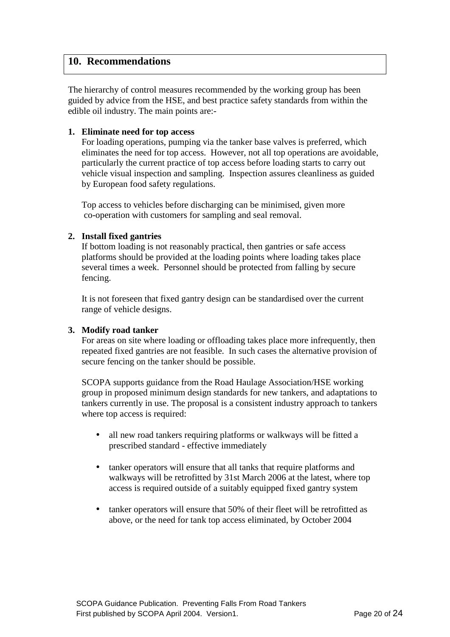## **10. Recommendations**

The hierarchy of control measures recommended by the working group has been guided by advice from the HSE, and best practice safety standards from within the edible oil industry. The main points are:-

## **1. Eliminate need for top access**

For loading operations, pumping via the tanker base valves is preferred, which eliminates the need for top access. However, not all top operations are avoidable, particularly the current practice of top access before loading starts to carry out vehicle visual inspection and sampling. Inspection assures cleanliness as guided by European food safety regulations.

Top access to vehicles before discharging can be minimised, given more co-operation with customers for sampling and seal removal.

## **2. Install fixed gantries**

If bottom loading is not reasonably practical, then gantries or safe access platforms should be provided at the loading points where loading takes place several times a week. Personnel should be protected from falling by secure fencing.

It is not foreseen that fixed gantry design can be standardised over the current range of vehicle designs.

## **3. Modify road tanker**

For areas on site where loading or offloading takes place more infrequently, then repeated fixed gantries are not feasible. In such cases the alternative provision of secure fencing on the tanker should be possible.

SCOPA supports guidance from the Road Haulage Association/HSE working group in proposed minimum design standards for new tankers, and adaptations to tankers currently in use. The proposal is a consistent industry approach to tankers where top access is required:

- all new road tankers requiring platforms or walkways will be fitted a prescribed standard - effective immediately
- tanker operators will ensure that all tanks that require platforms and walkways will be retrofitted by 31st March 2006 at the latest, where top access is required outside of a suitably equipped fixed gantry system
- tanker operators will ensure that 50% of their fleet will be retrofitted as above, or the need for tank top access eliminated, by October 2004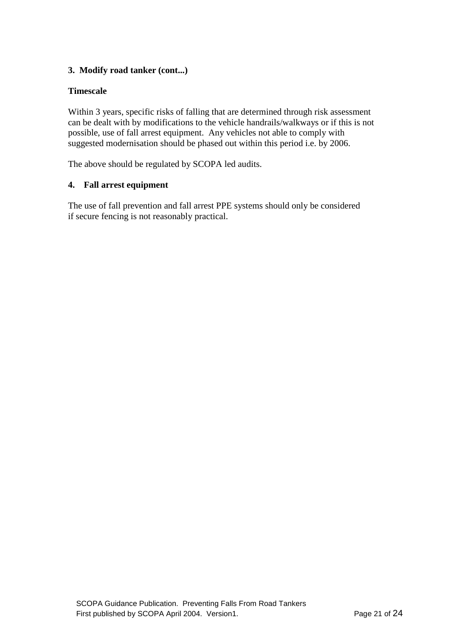## **3. Modify road tanker (cont...)**

## **Timescale**

Within 3 years, specific risks of falling that are determined through risk assessment can be dealt with by modifications to the vehicle handrails/walkways or if this is not possible, use of fall arrest equipment. Any vehicles not able to comply with suggested modernisation should be phased out within this period i.e. by 2006.

The above should be regulated by SCOPA led audits.

## **4. Fall arrest equipment**

The use of fall prevention and fall arrest PPE systems should only be considered if secure fencing is not reasonably practical.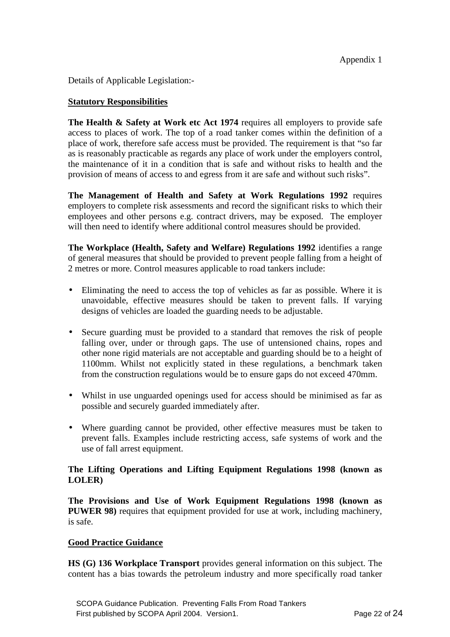Details of Applicable Legislation:-

## **Statutory Responsibilities**

**The Health & Safety at Work etc Act 1974** requires all employers to provide safe access to places of work. The top of a road tanker comes within the definition of a place of work, therefore safe access must be provided. The requirement is that "so far as is reasonably practicable as regards any place of work under the employers control, the maintenance of it in a condition that is safe and without risks to health and the provision of means of access to and egress from it are safe and without such risks".

**The Management of Health and Safety at Work Regulations 1992** requires employers to complete risk assessments and record the significant risks to which their employees and other persons e.g. contract drivers, may be exposed. The employer will then need to identify where additional control measures should be provided.

**The Workplace (Health, Safety and Welfare) Regulations 1992** identifies a range of general measures that should be provided to prevent people falling from a height of 2 metres or more. Control measures applicable to road tankers include:

- Eliminating the need to access the top of vehicles as far as possible. Where it is unavoidable, effective measures should be taken to prevent falls. If varying designs of vehicles are loaded the guarding needs to be adjustable.
- Secure guarding must be provided to a standard that removes the risk of people falling over, under or through gaps. The use of untensioned chains, ropes and other none rigid materials are not acceptable and guarding should be to a height of 1100mm. Whilst not explicitly stated in these regulations, a benchmark taken from the construction regulations would be to ensure gaps do not exceed 470mm.
- Whilst in use unguarded openings used for access should be minimised as far as possible and securely guarded immediately after.
- Where guarding cannot be provided, other effective measures must be taken to prevent falls. Examples include restricting access, safe systems of work and the use of fall arrest equipment.

## **The Lifting Operations and Lifting Equipment Regulations 1998 (known as LOLER)**

**The Provisions and Use of Work Equipment Regulations 1998 (known as PUWER 98**) requires that equipment provided for use at work, including machinery, is safe.

## **Good Practice Guidance**

**HS (G) 136 Workplace Transport** provides general information on this subject. The content has a bias towards the petroleum industry and more specifically road tanker